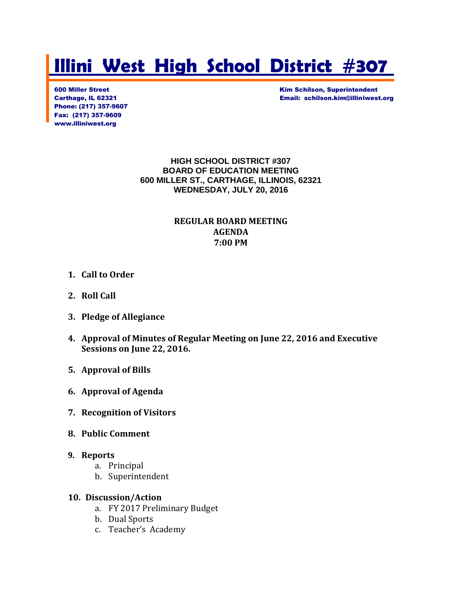# **Illini West High School District #307**

Phone: (217) 357-9607 Fax: (217) 357-9609 www.illiniwest.org

600 Miller Street Kim Schilson, Superintendent Carthage, IL 62321 Email: schilson.kim@illiniwest.org

> **HIGH SCHOOL DISTRICT #307 BOARD OF EDUCATION MEETING 600 MILLER ST., CARTHAGE, ILLINOIS, 62321 WEDNESDAY, JULY 20, 2016**

### **REGULAR BOARD MEETING AGENDA 7:00 PM**

- **1. Call to Order**
- **2. Roll Call**
- **3. Pledge of Allegiance**
- **4. Approval of Minutes of Regular Meeting on June 22, 2016 and Executive Sessions on June 22, 2016.**
- **5. Approval of Bills**
- **6. Approval of Agenda**
- **7. Recognition of Visitors**
- **8. Public Comment**

#### **9. Reports**

- a. Principal
- b. Superintendent

#### **10. Discussion/Action**

- a. FY 2017 Preliminary Budget
- b. Dual Sports
- c. Teacher's Academy